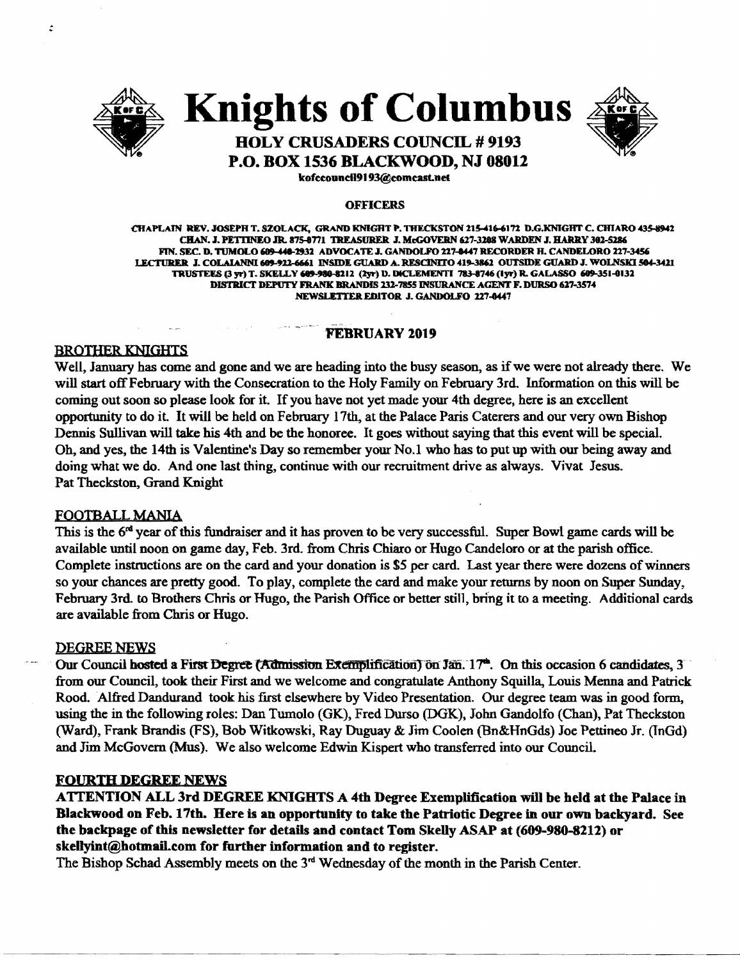

 $\ddot{\cdot}$ 

Knights of Columbus



# HOLY CRUSADERS COUNCIL # 9193 P.O. BOX 1536 BLACKWOOD, NJ 08012

kofeeoundl9193@eomeast.net

#### OFFICERS

CHAPLAIN REV. JOSEPH T. SZOLACK. GRAND KNIGHT P. THECKSTON 215-416-6172 D.G.KNIGHT C. CHIARO 435-8942 CHAN. J. PETTINEO JR. 875-8771 TREASURER J. McGOVERN 627-3208 WARDEN J. HARRY 302-5286 FIN. SEC. D. TUMOLO 609-440-2932 ADVOCATE J. GANDOLFO 227-0447 RECORDER H. CANDELORO 227-3456 I.ECTURER J. COLAIANNI 689-922-6661 INSIDE GUARD A. RESCINITO 419-3862 OUTSIDE GUARD J. WOLNSKI 504-3421 TRUSTERS (3 yr) T. SKELLY 609-980-8212 (2yr) D. DICLEMENTI 783-8746 (1yr) R. GALASSO 609-351-0132 DISTRICT DEPUTY FRANK BRANDIS 232-7855 INSURANCE AGENT F. DURSO 627-3574 NEWSLETTER EDITOR J. GANDOLFO 227-0447

#### FEBRUARY 2019

#### BROTHER KNIGHTS

Well, January has come and gone and we are heading into the busy season, as if we were not already there. We will start offFebruary with the Consecration to the Holy Family on February 3rd. Information on this will be coming out soon so please look for it. If you have not yet made your 4th degree, here is an excellent opportunity to do it. It will be held on February 17th, at the Palace Paris Caterers and our very own Bishop Dennis Sullivan will take his 4th and be the honoree. It goes without saying that this event will be special. Oh, and yes, the 14th is Valentine's Day so remember your No.1 who has to put up with our being away and doing what we do. And one last thing, continue with our recruitment drive as always. Vivat Jesus. Pat Theckston, Grand Knight

#### FOOTBALL MANIA

This is the  $6<sup>rd</sup>$  year of this fundraiser and it has proven to be very successful. Super Bowl game cards will be available until noon on game day. Feb. 3rd. from Chris Chiaro or Hugo Candeloro or at the parish office. Complete instmctions are on the card and your donation is \$5 per card. Last year there were dozens ofwinners so your chances are pretty good. To play, complete the card and make your returns by noon on Super Sunday, February 3rd. to Brothers Chris or Hugo, the Parish Office or better still, bring it to a meeting. Additional cards are available from Chris or Hugo.

#### DEGREE NEWS

Our Council hosted a First Degree (Admission Exemplification) on Jan. 17<sup>\*</sup>. On this occasion 6 candidates, 3 from our Council, took their First and we welcome and congratulate Anthony Squilla, Louis Menna and Patrick Rood. Alfred Dandurand took his first elsewhere by Video Presentation. Our degree team was in good form, using the in the following roles: Dan Tumolo (GK), Fred Durso (DGK), John Gandolfo (Chan), Pat Theckston (Ward), Frank Brandis (FS), Bob Witkowski, Ray Duguay & Jim Coolen (Bn&HnGds) Joe Pettineo Jr. (TnGd) and Jim McGovern (Mus). We also welcome Edwin Kispert who transferred into our Council.

#### **FOURTH DEGREE NEWS**

ATTENTION ALL 3rd DEGREE KNIGHTS A 4th Degree Exemplification will be held at the Palace in Blackwood on Feb. 17th. Here is an opportunity to take the Patriotic Degree in our own backyard. See the backpage of this newsletter for details and contact Tom Skelly ASAP at (609-980-8212) or skellyint@hotmaiLcom for further information and to register.

.. --~.....-- .. \_----\_...\_--.\_

The Bishop Schad Assembly meets on the  $3<sup>rd</sup>$  Wednesday of the month in the Parish Center.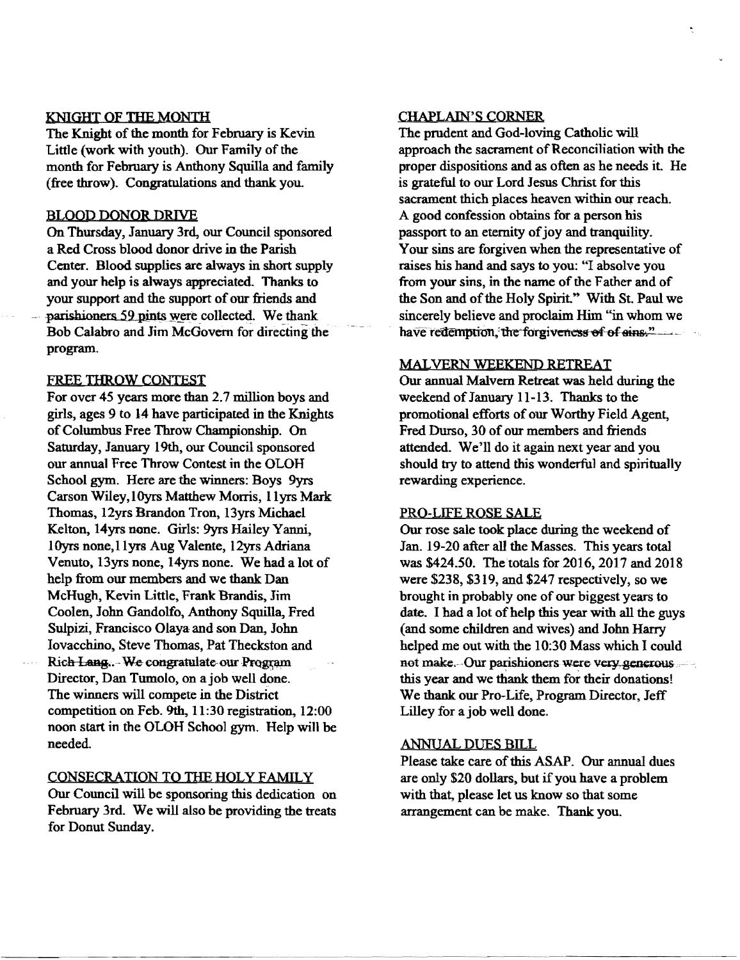#### KNIGHT OF THE MONTH

The Knight of the month for February is Kevin Little (work with youth). Our Family of the month for February is Anthony Squilla and family (free throw). Congratulations and thank you.

#### BLOOD DONOR DRIVE

On Thursday, January 3rd, our Council sponsored a Red Cross blood donor drive in the Parish Center. Blood supplies are always in short supply and your help is always appreciated. Thanks to your support and the support of our friends and parishioners 59 pints were collected. We thank Bob Calabro and Jim McGovern for directing the program.

#### FREE THROW CONTEST

For over 45 years more than 2.7 million boys and girls, ages 9 to 14 have participated in the Knights of Columbus Free Throw Championship. On Saturday, January 19th, our Council sponsored our annual Free Throw Contest in the OLOH School gym. Here are the winners: Boys 9yrs Carson Wiley, IOyrs Matthew Morris, IIyrs Mark Thomas, 12yrs Brandon Tron, 13yrs Michael Kelton, 14yrs none. Girls: 9yrs Hailey Yanni, IOyrs none,llyrs Aug Valente, 12yrs Adriana Venuto, 13yrs none, 14yrs none. We had a lot of help from our members and we thank Dan McHugh, Kevin Little, Frank Brandis, Jim Coolen, John Gandolfo, Anthony Squilla, Fred Sulpizi, Francisco Olaya and son Dan, John Iovacchino, Steve Thomas, Pat Theckston and Rich Lang... We congratulate our Program Director, Dan Tumolo, on ajob well done. The winners will compete in the District competition on Feb. 9th, 11:30 registration, 12:00 noon start in the OLOH School gym. Help wi11 be needed.

#### CONSECRATION TO TIlE HOLy FAMILY

Our Council will be sponsoring this dedication on February 3rd. We will also be providing the treats for Donut Sunday.

#### CHAPLAIN'S CORNER

The prudent and God-loving Catholic will approach the sacrament of Reconciliation with the proper dispositions and as often as he needs it. He is grateful to our Lord Jesus Christ for this sacrament thich places heaven within our reach. A good confession obtains for a person his passport to an eternity of joy and tranquility. Your sins are forgiven when the representative of raises his hand and says to you: "I absolve you from your sins, in the name of the Father and of the Son and of the Holy Spirit." With St. Paul we sincerely believe and proclaim Him "in whom we have redemption, the forgiveness of of sins."

#### MALVERN WEEKEND RETREAT

Our annual Malvern Retreat was held during the weekend of January 11-13. Thanks to the promotional efforts of our Worthy Field Agent, Fred Durso, 30 of our members and friends attended. We'll do it again next year and you should try to attend this wonderful and spiritually rewarding experience.

#### PRO-LIFE ROSE SALE

Our rose sale took place during the weekend of Jan. 19-20 after all the Masses. This years total was \$424.50. The totals for 2016, 2017 and 2018 were \$238, \$319, and \$247 respectively, so we brought in probably one of our biggest years to date. I had a lot of help this year with all the guys (and some children and wives) and John Harry helped me out with the 10:30 Mass which I could not make. Our parishioners were very generous. this year and we thank them for their donations! We thank our Pro-Life. Program Director. Jeff Lilley for a job well done.

#### ANNUAL DUES BILL

Please take care of this ASAP. Our annual dues are only \$20 dollars. but ifyou have a problem with that, please let us know so that some arrangement can be make. Thank you.

.--~- .. ~~--~--~-.. --...-~-...~-...-~-.. ~~------..--..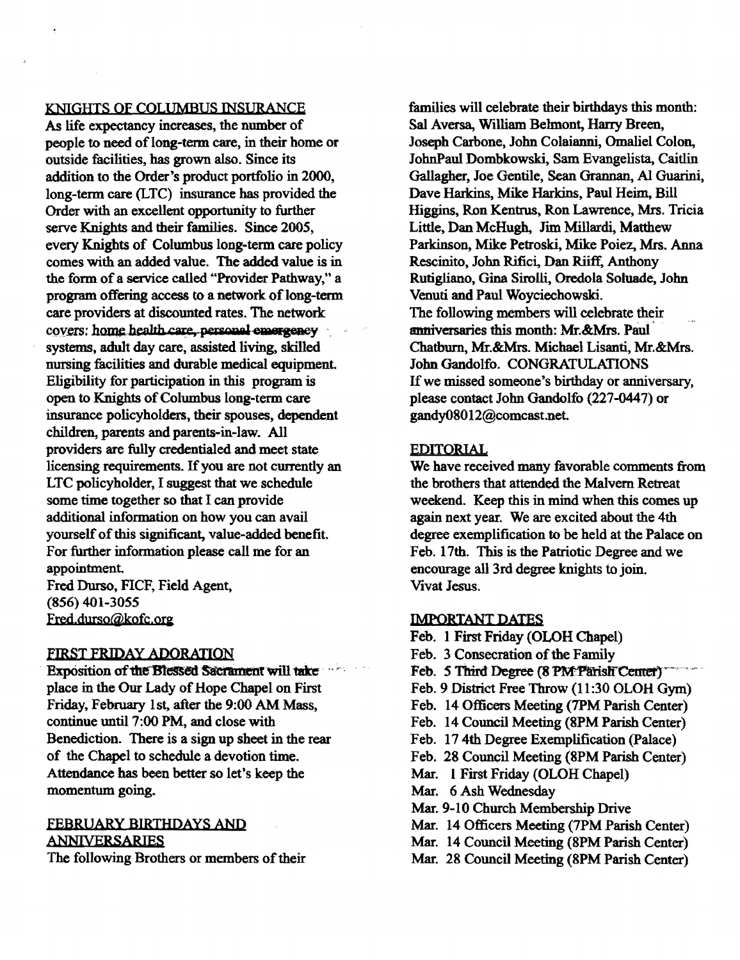# KNIGHTS OF COLUMBUS INSURANCE

As life expectancy increases, the number of people to need of long-term care, in their home or outside facilities, has grown also. Since its addition to the Order's product portfolio in 2000, long-term care (LTC) insurance has provided the Order with an excellent opportunity to further serve Knights and their families. Since 2005, every Knights of Columbus long-term care policy comes with an added value. The added value is in the form of a service called "Provider Pathway," a program offering access to a network of long-term care providers at discounted rates. The network covers: home health care, personal emergency systems, adult day care, assisted living. skilled nursing facilities and durable medical equipment. Eligibility for participation in this program is open to Knights of Columbus long-term care insurance policyholders, their spouses, dependent children, parents and parents-in-law. All providers are fully credentialed and meet state licensing requirements. If you are not currently an LTC policyholder, I suggest that we schedule some time together so that I can provide additional information on how you can avail yourself of this significant, value-added benefit. For further information please call me for an appointment. Fred Durso, FICF, Field Agent, (856) 401-3055

fred,.durso@kofc.ora

# FIRST FRIDAY ADORATION

Exposition of the Blessed Sacrament will take place in the Our Lady of Hope Chapel on First Friday, February 1st, after the 9:00 AM Mass, continue until 7:00 PM, and close with Benediction. There is a sign up sheet in the rear of the Chapel to schedule a devotion time. Attendance has been better so let's keep the momentum going.

# FEBRUARY BIRTHDAYS AND ANNNERSARIES

The following Brothers or members of their

families will celebrate their birthdays this month: Sal Aversa, William Belmont, Harry Breen, Joseph Carbone, John Colaianni, Omaliel Colon, JohnPaul Dombkowski, Sam Evangelista, Caitlin Gallagher, Joe Gentile, Sean Graman, AI Guarini, Dave Harkins, Mike Harkins, Paul Heim, Bill Higgins, Ron Kentrus, Ron Lawrence, Mrs. Tricia Little, Dan McHugh, Jim Millardi, Matthew Parkinson, Mike Petroski, Mike Poiez, Mrs. Anna Rescinito, John Rifici, Dan Riiff, Anthony Rutigliano, Gina Sirolli, Oredola Soluade, John Venuti and Paul Woyciechowski The following members will celebrate their anniversaries this month: Mr.&Mrs. Paul Chatburn, Mr.&Mrs. Michael Lisanti, Mr.&Mrs. John Gandolfo. CONGRATULATIONS If we missed someone's birthday or anniversary, please contact John Gandolfo (227-0447) or gandy08012@comcast.net.

# EDITORIAL

We have received many favorable comments from the brothers that attended the Malvern Retreat weekend. Keep this in mind when this comes up again next year. We are excited about the 4th degree exemplification to be held at the Palace on Feb. 17th. This is the Patriotic Degree and we encourage all 3rd degree knights to join. Vivat Jesus.

# IMPORTANT DATES

Feb. 1First Friday (OLOH Chapel) Feb. 3 Consecration of the Family Feb. 5 Third Degree (8 PM Parish Center) Feb. 9 District Free Throw (11 :30 OLOH Gym) Feb. 14 Officers Meeting (7PM Parish Center) Feb. 14 Council Meeting (8PM Parish Center) Feb. 17 4th Degree Exemplification (palace) Feb. 28 Council Meeting (8PM Parish Center) Mar. 1 First Friday (OLOR Chapel) Mar. 6 Ash Wednesday Mar. 9-10 Church Membership Drive Mar. 14 Officers Meeting (7PM Parish Center) Mar. 14 Council Meeting (8PM Parish Center) Mar. 28 Council Meeting (8PM Parish Center)